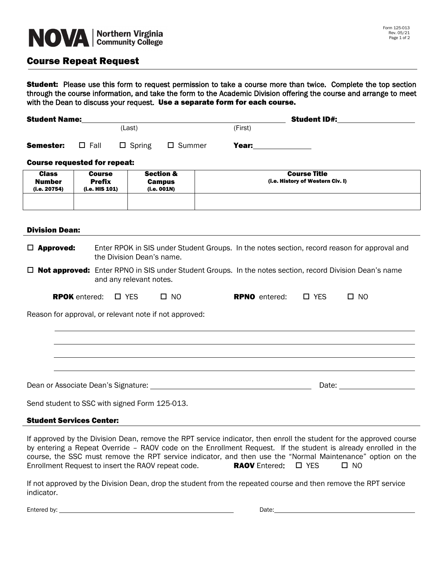# NOVA | Northern Virginia

### Course Repeat Request

**Student:** Please use this form to request permission to take a course more than twice. Complete the top section through the course information, and take the form to the Academic Division offering the course and arrange to meet with the Dean to discuss your request. Use a separate form for each course.

| <b>Student Name:</b> |             |             |        | <b>Student ID#:</b> |  |  |
|----------------------|-------------|-------------|--------|---------------------|--|--|
|                      |             | (Last)      |        | (First)             |  |  |
| Semester:            | $\Box$ Fall | □<br>Spring | Summer | Year:               |  |  |

#### Course requested for repeat:

| <b>Class</b><br><b>Number</b><br>(i.e. 20754) | <b>Course</b><br><b>Prefix</b><br>(i.e. HIS 101) | <b>Section &amp;</b><br><b>Campus</b><br>(i.e. 001N) | <b>Course Title</b><br>(i.e. History of Western Civ. I) |
|-----------------------------------------------|--------------------------------------------------|------------------------------------------------------|---------------------------------------------------------|
|                                               |                                                  |                                                      |                                                         |

#### Division Dean:

 $\Box$  **Approved:** Enter RPOK in SIS under Student Groups. In the notes section, record reason for approval and the Division Dean's name.

 $\Box$  **Not approved:** Enter RPNO in SIS under Student Groups. In the notes section, record Division Dean's name and any relevant notes.

| <b>RPOK</b> entered: $\Box$ YES |  | $\Box$ NO | <b>RPNO</b> entered: $\Box$ YES |  | $\square$ NO |
|---------------------------------|--|-----------|---------------------------------|--|--------------|
|---------------------------------|--|-----------|---------------------------------|--|--------------|

Reason for approval, or relevant note if not approved:

Dean or Associate Dean's Signature: Date:

Send student to SSC with signed Form 125-013.

#### Student Services Center:

If approved by the Division Dean, remove the RPT service indicator, then enroll the student for the approved course by entering a Repeat Override – RAOV code on the Enrollment Request. If the student is already enrolled in the course, the SSC must remove the RPT service indicator, and then use the "Normal Maintenance" option on the Enrollment Request to insert the RAOV repeat code. **RAOV** Entered:  $\Box$  YES  $\Box$  NO

If not approved by the Division Dean, drop the student from the repeated course and then remove the RPT service indicator.

Entered by: Date: